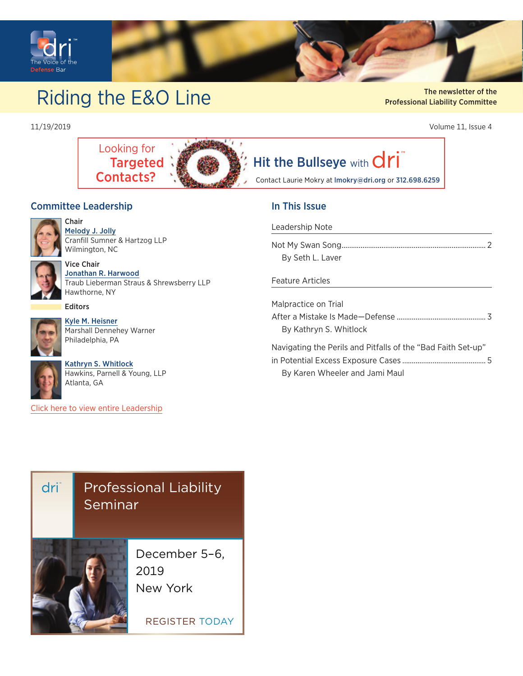<span id="page-0-0"></span>

# Riding the E&O Line Aviation Liebility Committee of the The newsletter of the Riding the E&O Line Aviation Liebility Committee

The newsletter of the Professional Liability Commitee Professional Liability Committee

11/19/2019 Volume 11, Issue 4



# [Hit the Bullseye](mailto:lmokry@dri.org?subject=) with  $\overline{dr}$

Contact Laurie Mokry at lmokry@dri.org or 312.698.6259

#### Committee Leadership



Chair [Melody J. Jolly](https://members.dri.org/DRIIMIS/DRI/Contacts/ContactLayouts/Profile.aspx?ID=296157) Cranfill Sumner & Hartzog LLP Wilmington, NC



#### Vice Chair [Jonathan R. Harwood](https://members.dri.org/DRIIMIS/DRI/Contacts/ContactLayouts/Profile.aspx%3FID%3D339087)

Traub Lieberman Straus & Shrewsberry LLP Hawthorne, NY

#### Editors



[Kyle M. Heisner](https://members.dri.org/DRIIMIS/DRI/Contacts/ContactLayouts/Profile.aspx?ID=355391) Marshall Dennehey Warner Philadelphia, PA



[Kathryn S. Whitlock](https://members.dri.org/DRIIMIS/DRI/Contacts/ContactLayouts/Profile.aspx?ID=333592) Hawkins, Parnell & Young, LLP Atlanta, GA

[Click here to view entire Leadership](https://dri.org/committees/committee-detail/0202)

## [Professional Liability](https://members.dri.org/driimis/DRI/DRI/Events/Event_Display.aspx?EventKey=20190255&WebsiteKey=dff610f8-3077-475c-9db6-aea95c8e4136)  dri Seminar December 5–6, 2019 New YorkRegisteR today

### In This Issue

#### [Leadership Note](#page-1-0)

| By Seth L. Laver |  |
|------------------|--|

#### [Feature Articles](#page-2-0)

| Malpractice on Trial                                         |  |
|--------------------------------------------------------------|--|
|                                                              |  |
| By Kathryn S. Whitlock                                       |  |
| Navigating the Perils and Pitfalls of the "Bad Faith Set-up" |  |
|                                                              |  |
|                                                              |  |

[By Karen Wheeler and Jami Maul](#page-4-0)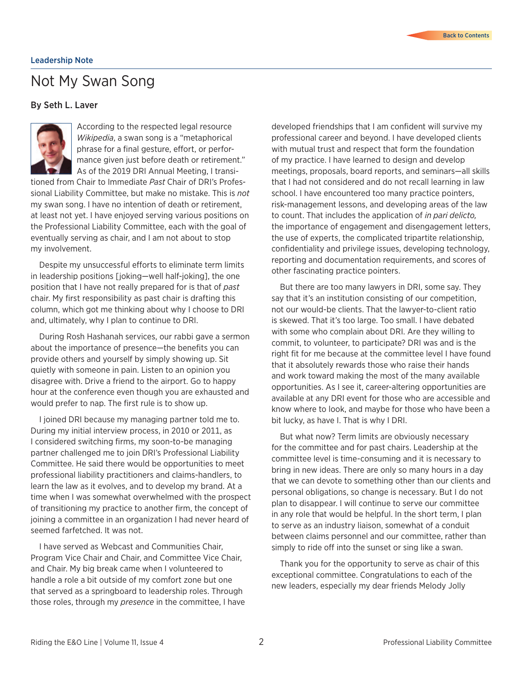### <span id="page-1-0"></span>Not My Swan Song

#### By Seth L. Laver



According to the respected legal resource *Wikipedia*, a swan song is a "metaphorical phrase for a final gesture, effort, or performance given just before death or retirement." As of the 2019 DRI Annual Meeting, I transi-

tioned from Chair to Immediate *Past* Chair of DRI's Professional Liability Committee, but make no mistake. This is *not* my swan song. I have no intention of death or retirement, at least not yet. I have enjoyed serving various positions on the Professional Liability Committee, each with the goal of eventually serving as chair, and I am not about to stop my involvement.

Despite my unsuccessful efforts to eliminate term limits in leadership positions [joking—well half-joking], the one position that I have not really prepared for is that of *past* chair. My first responsibility as past chair is drafting this column, which got me thinking about why I choose to DRI and, ultimately, why I plan to continue to DRI.

During Rosh Hashanah services, our rabbi gave a sermon about the importance of presence—the benefits you can provide others and yourself by simply showing up. Sit quietly with someone in pain. Listen to an opinion you disagree with. Drive a friend to the airport. Go to happy hour at the conference even though you are exhausted and would prefer to nap. The first rule is to show up.

I joined DRI because my managing partner told me to. During my initial interview process, in 2010 or 2011, as I considered switching firms, my soon-to-be managing partner challenged me to join DRI's Professional Liability Committee. He said there would be opportunities to meet professional liability practitioners and claims-handlers, to learn the law as it evolves, and to develop my brand. At a time when I was somewhat overwhelmed with the prospect of transitioning my practice to another firm, the concept of joining a committee in an organization I had never heard of seemed farfetched. It was not.

I have served as Webcast and Communities Chair, Program Vice Chair and Chair, and Committee Vice Chair, and Chair. My big break came when I volunteered to handle a role a bit outside of my comfort zone but one that served as a springboard to leadership roles. Through those roles, through my *presence* in the committee, I have developed friendships that I am confident will survive my professional career and beyond. I have developed clients with mutual trust and respect that form the foundation of my practice. I have learned to design and develop meetings, proposals, board reports, and seminars—all skills that I had not considered and do not recall learning in law school. I have encountered too many practice pointers, risk-management lessons, and developing areas of the law to count. That includes the application of *in pari delicto,*  the importance of engagement and disengagement letters, the use of experts, the complicated tripartite relationship, confidentiality and privilege issues, developing technology, reporting and documentation requirements, and scores of other fascinating practice pointers.

But there are too many lawyers in DRI, some say. They say that it's an institution consisting of our competition, not our would-be clients. That the lawyer-to-client ratio is skewed. That it's too large. Too small. I have debated with some who complain about DRI. Are they willing to commit, to volunteer, to participate? DRI was and is the right fit for me because at the committee level I have found that it absolutely rewards those who raise their hands and work toward making the most of the many available opportunities. As I see it, career-altering opportunities are available at any DRI event for those who are accessible and know where to look, and maybe for those who have been a bit lucky, as have I. That is why I DRI.

But what now? Term limits are obviously necessary for the committee and for past chairs. Leadership at the committee level is time-consuming and it is necessary to bring in new ideas. There are only so many hours in a day that we can devote to something other than our clients and personal obligations, so change is necessary. But I do not plan to disappear. I will continue to serve our committee in any role that would be helpful. In the short term, I plan to serve as an industry liaison, somewhat of a conduit between claims personnel and our committee, rather than simply to ride off into the sunset or sing like a swan.

Thank you for the opportunity to serve as chair of this exceptional committee. Congratulations to each of the new leaders, especially my dear friends Melody Jolly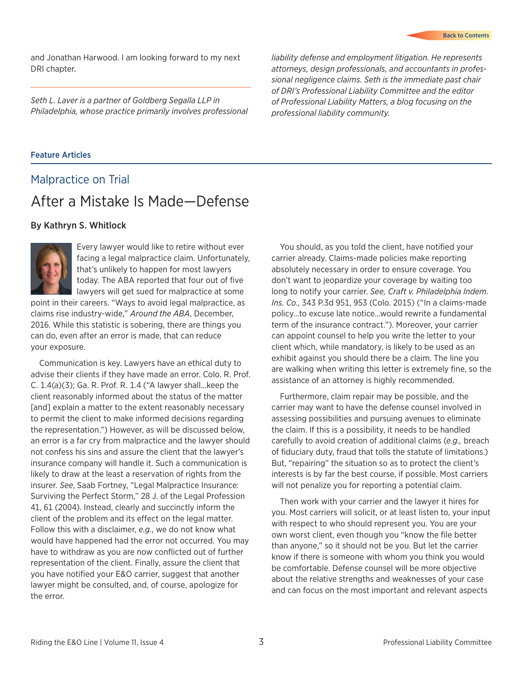<span id="page-2-0"></span>and Jonathan Harwood. I am looking forward to my next DRI chapter.

*Seth L. Laver is a partner of Goldberg Segalla LLP in Philadelphia, whose practice primarily involves professional* 

*liability defense and employment litigation. He represents attorneys, design professionals, and accountants in professional negligence claims. Seth is the immediate past chair of DRI's Professional Liability Committee and the editor of Professional Liability Matters, a blog focusing on the professional liability community.*

#### Feature Articles

### Malpractice on Trial After a Mistake Is Made—Defense

#### By Kathryn S. Whitlock



Every lawyer would like to retire without ever facing a legal malpractice claim. Unfortunately, that's unlikely to happen for most lawyers today. The ABA reported that four out of five lawyers will get sued for malpractice at some

point in their careers. "Ways to avoid legal malpractice, as claims rise industry-wide," *Around the ABA*, December, 2016. While this statistic is sobering, there are things you can do, even after an error is made, that can reduce your exposure.

Communication is key. Lawyers have an ethical duty to advise their clients if they have made an error. Colo. R. Prof. C. 1.4(a)(3); Ga. R. Prof. R. 1.4 ("A lawyer shall…keep the client reasonably informed about the status of the matter [and] explain a matter to the extent reasonably necessary to permit the client to make informed decisions regarding the representation.") However, as will be discussed below, an error is a far cry from malpractice and the lawyer should not confess his sins and assure the client that the lawyer's insurance company will handle it. Such a communication is likely to draw at the least a reservation of rights from the insurer. *See*, Saab Fortney, "Legal Malpractice Insurance: Surviving the Perfect Storm," 28 J. of the Legal Profession 41, 61 (2004). Instead, clearly and succinctly inform the client of the problem and its effect on the legal matter. Follow this with a disclaimer, *e.g.*, we do not know what would have happened had the error not occurred. You may have to withdraw as you are now conflicted out of further representation of the client. Finally, assure the client that you have notified your E&O carrier, suggest that another lawyer might be consulted, and, of course, apologize for the error.

You should, as you told the client, have notified your carrier already. Claims-made policies make reporting absolutely necessary in order to ensure coverage. You don't want to jeopardize your coverage by waiting too long to notify your carrier. *See, Craft v. Philadelphia Indem. Ins. Co*., 343 P.3d 951, 953 (Colo. 2015) ("In a claims-made policy…to excuse late notice…would rewrite a fundamental term of the insurance contract."). Moreover, your carrier can appoint counsel to help you write the letter to your client which, while mandatory, is likely to be used as an exhibit against you should there be a claim. The line you are walking when writing this letter is extremely fine, so the assistance of an attorney is highly recommended.

Furthermore, claim repair may be possible, and the carrier may want to have the defense counsel involved in assessing possibilities and pursuing avenues to eliminate the claim. If this is a possibility, it needs to be handled carefully to avoid creation of additional claims (*e.g.,* breach of fiduciary duty, fraud that tolls the statute of limitations.) But, "repairing" the situation so as to protect the client's interests is by far the best course, if possible. Most carriers will not penalize you for reporting a potential claim.

Then work with your carrier and the lawyer it hires for you. Most carriers will solicit, or at least listen to, your input with respect to who should represent you. You are your own worst client, even though you "know the file better than anyone," so it should not be you. But let the carrier know if there is someone with whom you think you would be comfortable. Defense counsel will be more objective about the relative strengths and weaknesses of your case and can focus on the most important and relevant aspects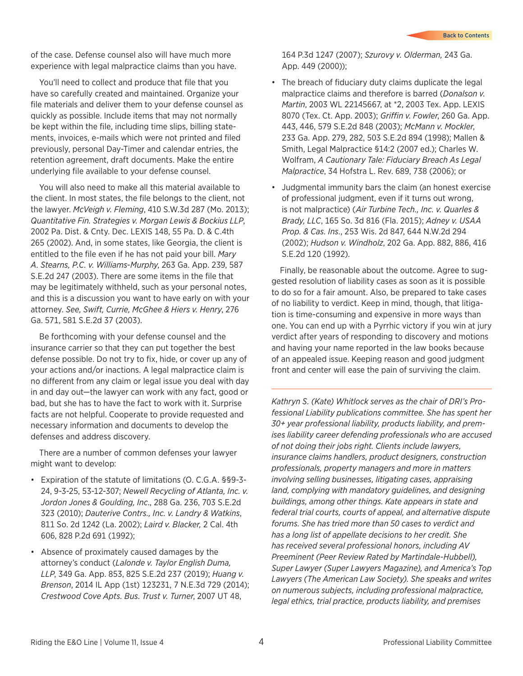of the case. Defense counsel also will have much more experience with legal malpractice claims than you have.

You'll need to collect and produce that file that you have so carefully created and maintained. Organize your file materials and deliver them to your defense counsel as quickly as possible. Include items that may not normally be kept within the file, including time slips, billing statements, invoices, e-mails which were not printed and filed previously, personal Day-Timer and calendar entries, the retention agreement, draft documents. Make the entire underlying file available to your defense counsel.

You will also need to make all this material available to the client. In most states, the file belongs to the client, not the lawyer. *McVeigh v. Fleming*, 410 S.W.3d 287 (Mo. 2013); *Quantitative Fin. Strategies v. Morgan Lewis & Bockius LLP*, 2002 Pa. Dist. & Cnty. Dec. LEXIS 148, 55 Pa. D. & C.4th 265 (2002). And, in some states, like Georgia, the client is entitled to the file even if he has not paid your bill. *Mary A. Stearns, P.C. v. Williams-Murphy*, 263 Ga. App. 239, 587 S.E.2d 247 (2003). There are some items in the file that may be legitimately withheld, such as your personal notes, and this is a discussion you want to have early on with your attorney. *See, Swift, Currie, McGhee & Hiers v. Henry*, 276 Ga. 571, 581 S.E.2d 37 (2003).

Be forthcoming with your defense counsel and the insurance carrier so that they can put together the best defense possible. Do not try to fix, hide, or cover up any of your actions and/or inactions. A legal malpractice claim is no different from any claim or legal issue you deal with day in and day out—the lawyer can work with any fact, good or bad, but she has to have the fact to work with it. Surprise facts are not helpful. Cooperate to provide requested and necessary information and documents to develop the defenses and address discovery.

There are a number of common defenses your lawyer might want to develop:

- Expiration of the statute of limitations (O. C.G.A. §§9-3-24, 9-3-25, 53-12-307; *Newell Recycling of Atlanta, Inc. v. Jordon Jones & Goulding, Inc*., 288 Ga. 236, 703 S.E.2d 323 (2010); *Dauterive Contrs., Inc. v. Landry & Watkins*, 811 So. 2d 1242 (La. 2002); *Laird v. Blacker,* 2 Cal. 4th 606, 828 P.2d 691 (1992);
- • Absence of proximately caused damages by the attorney's conduct (*Lalonde v. Taylor English Duma, LLP*, 349 Ga. App. 853, 825 S.E.2d 237 (2019); *Huang v. Brenson*, 2014 IL App (1st) 123231, 7 N.E.3d 729 (2014); *Crestwood Cove Apts. Bus. Trust v. Turner*, 2007 UT 48,

164 P.3d 1247 (2007); *Szurovy v. Olderman,* 243 Ga. App. 449 (2000));

- The breach of fiduciary duty claims duplicate the legal malpractice claims and therefore is barred (*Donalson v. Martin*, 2003 WL 22145667, at \*2, 2003 Tex. App. LEXIS 8070 (Tex. Ct. App. 2003); *Griffin v. Fowler*, 260 Ga. App. 443, 446, 579 S.E.2d 848 (2003); *McMann v. Mockler*, 233 Ga. App. 279, 282, 503 S.E.2d 894 (1998); Mallen & Smith, Legal Malpractice §14:2 (2007 ed.); Charles W. Wolfram, *A Cautionary Tale: Fiduciary Breach As Legal Malpractice*, 34 Hofstra L. Rev. 689, 738 (2006); or
- • Judgmental immunity bars the claim (an honest exercise of professional judgment, even if it turns out wrong, is not malpractice) (*Air Turbine Tech., Inc. v. Quarles & Brady, LLC*, 165 So. 3d 816 (Fla. 2015); *Adney v. USAA Prop. & Cas. Ins.*, 253 Wis. 2d 847, 644 N.W.2d 294 (2002); *Hudson v. Windholz*, 202 Ga. App. 882, 886, 416 S.E.2d 120 (1992).

Finally, be reasonable about the outcome. Agree to suggested resolution of liability cases as soon as it is possible to do so for a fair amount. Also, be prepared to take cases of no liability to verdict. Keep in mind, though, that litigation is time-consuming and expensive in more ways than one. You can end up with a Pyrrhic victory if you win at jury verdict after years of responding to discovery and motions and having your name reported in the law books because of an appealed issue. Keeping reason and good judgment front and center will ease the pain of surviving the claim.

*Kathryn S. (Kate) Whitlock serves as the chair of DRI's Professional Liability publications committee. She has spent her 30+ year professional liability, products liability, and premises liability career defending professionals who are accused of not doing their jobs right. Clients include lawyers, insurance claims handlers, product designers, construction professionals, property managers and more in matters involving selling businesses, litigating cases, appraising land, complying with mandatory guidelines, and designing buildings, among other things. Kate appears in state and federal trial courts, courts of appeal, and alternative dispute forums. She has tried more than 50 cases to verdict and has a long list of appellate decisions to her credit. She has received several professional honors, including AV Preeminent (Peer Review Rated by Martindale-Hubbell), Super Lawyer (Super Lawyers Magazine), and America's Top Lawyers (The American Law Society). She speaks and writes on numerous subjects, including professional malpractice, legal ethics, trial practice, products liability, and premises*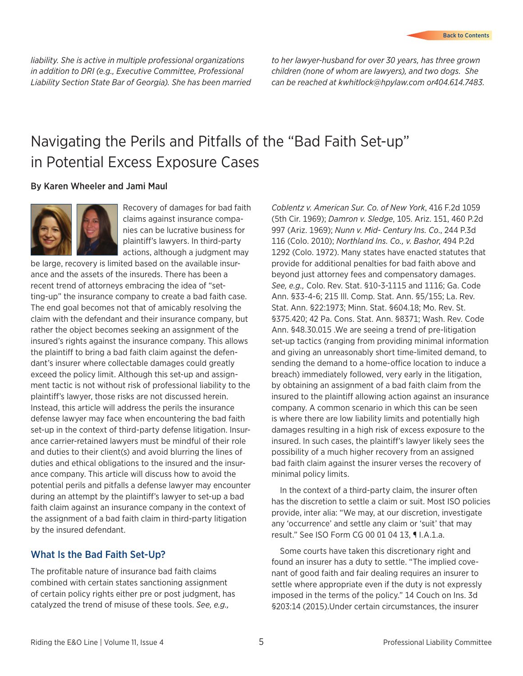<span id="page-4-0"></span>*liability. She is active in multiple professional organizations in addition to DRI (e.g., Executive Committee, Professional Liability Section State Bar of Georgia). She has been married* 

*to her lawyer-husband for over 30 years, has three grown children (none of whom are lawyers), and two dogs. She can be reached at kwhitlock@hpylaw.com or404.614.7483.*

## Navigating the Perils and Pitfalls of the "Bad Faith Set-up" in Potential Excess Exposure Cases

#### By Karen Wheeler and Jami Maul



Recovery of damages for bad faith claims against insurance companies can be lucrative business for plaintiff's lawyers. In third-party actions, although a judgment may

be large, recovery is limited based on the available insurance and the assets of the insureds. There has been a recent trend of attorneys embracing the idea of "setting-up" the insurance company to create a bad faith case. The end goal becomes not that of amicably resolving the claim with the defendant and their insurance company, but rather the object becomes seeking an assignment of the insured's rights against the insurance company. This allows the plaintiff to bring a bad faith claim against the defendant's insurer where collectable damages could greatly exceed the policy limit. Although this set-up and assignment tactic is not without risk of professional liability to the plaintiff's lawyer, those risks are not discussed herein. Instead, this article will address the perils the insurance defense lawyer may face when encountering the bad faith set-up in the context of third-party defense litigation. Insurance carrier-retained lawyers must be mindful of their role and duties to their client(s) and avoid blurring the lines of duties and ethical obligations to the insured and the insurance company. This article will discuss how to avoid the potential perils and pitfalls a defense lawyer may encounter during an attempt by the plaintiff's lawyer to set-up a bad faith claim against an insurance company in the context of the assignment of a bad faith claim in third-party litigation by the insured defendant.

#### What Is the Bad Faith Set-Up?

The profitable nature of insurance bad faith claims combined with certain states sanctioning assignment of certain policy rights either pre or post judgment, has catalyzed the trend of misuse of these tools. *See, e.g.,*

*Coblentz v. American Sur. Co. of New York*, 416 F.2d 1059 (5th Cir. 1969); *Damron v. Sledge*, 105. Ariz. 151, 460 P.2d 997 (Ariz. 1969); *Nunn v. Mid- Century Ins. Co*., 244 P.3d 116 (Colo. 2010); *Northland Ins. Co., v. Bashor*, 494 P.2d 1292 (Colo. 1972). Many states have enacted statutes that provide for additional penalties for bad faith above and beyond just attorney fees and compensatory damages. *See, e.g.,* Colo. Rev. Stat. §10-3-1115 and 1116; Ga. Code Ann. §33-4-6; 215 Ill. Comp. Stat. Ann. §5/155; La. Rev. Stat. Ann. §22:1973; Minn. Stat. §604.18; Mo. Rev. St. §375.420; 42 Pa. Cons. Stat. Ann. §8371; Wash. Rev. Code Ann. §48.30.015 .We are seeing a trend of pre-litigation set-up tactics (ranging from providing minimal information and giving an unreasonably short time-limited demand, to sending the demand to a home-office location to induce a breach) immediately followed, very early in the litigation, by obtaining an assignment of a bad faith claim from the insured to the plaintiff allowing action against an insurance company. A common scenario in which this can be seen is where there are low liability limits and potentially high damages resulting in a high risk of excess exposure to the insured. In such cases, the plaintiff's lawyer likely sees the possibility of a much higher recovery from an assigned bad faith claim against the insurer verses the recovery of minimal policy limits.

In the context of a third-party claim, the insurer often has the discretion to settle a claim or suit. Most ISO policies provide, inter alia: "We may, at our discretion, investigate any 'occurrence' and settle any claim or 'suit' that may result." See ISO Form CG 00 01 04 13, ¶ I.A.1.a.

Some courts have taken this discretionary right and found an insurer has a duty to settle. "The implied covenant of good faith and fair dealing requires an insurer to settle where appropriate even if the duty is not expressly imposed in the terms of the policy." 14 Couch on Ins. 3d §203:14 (2015).Under certain circumstances, the insurer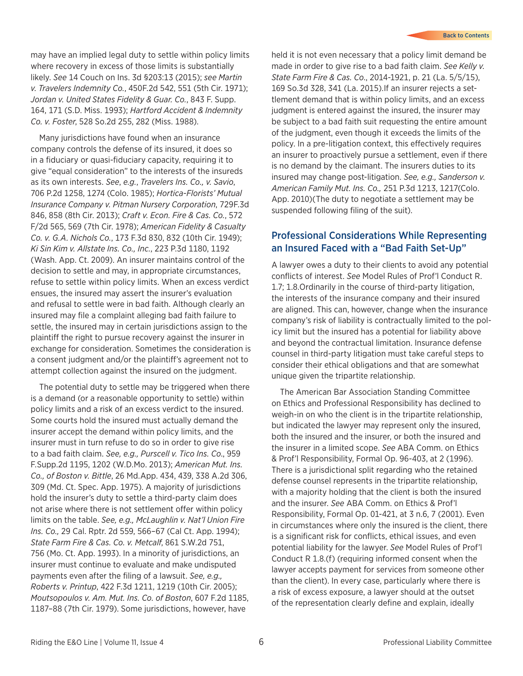may have an implied legal duty to settle within policy limits where recovery in excess of those limits is substantially likely. *See* 14 Couch on Ins. 3d §203:13 (2015); *see Martin v. Travelers Indemnity Co.*, 450F.2d 542, 551 (5th Cir. 1971); *Jordan v. United States Fidelity & Guar. Co.*, 843 F. Supp. 164, 171 (S.D. Miss. 1993); *Hartford Accident & Indemnity Co. v. Foster*, 528 So.2d 255, 282 (Miss. 1988).

Many jurisdictions have found when an insurance company controls the defense of its insured, it does so in a fiduciary or quasi-fiduciary capacity, requiring it to give "equal consideration" to the interests of the insureds as its own interests. *See*, *e.g.*, *Travelers Ins. Co., v. Savio*, 706 P.2d 1258, 1274 (Colo. 1985); *Hortica-Florists' Mutual Insurance Company v. Pitman Nursery Corporation*, 729F.3d 846, 858 (8th Cir. 2013); *Craft v. Econ. Fire & Cas. Co.*, 572 F/2d 565, 569 (7th Cir. 1978); *American Fidelity & Casualty Co. v. G.A. Nichols Co.*, 173 F.3d 830, 832 (10th Cir. 1949); *Ki Sin Kim v. Allstate Ins. Co., Inc.*, 223 P.3d 1180, 1192 (Wash. App. Ct. 2009). An insurer maintains control of the decision to settle and may, in appropriate circumstances, refuse to settle within policy limits. When an excess verdict ensues, the insured may assert the insurer's evaluation and refusal to settle were in bad faith. Although clearly an insured may file a complaint alleging bad faith failure to settle, the insured may in certain jurisdictions assign to the plaintiff the right to pursue recovery against the insurer in exchange for consideration. Sometimes the consideration is a consent judgment and/or the plaintiff's agreement not to attempt collection against the insured on the judgment.

The potential duty to settle may be triggered when there is a demand (or a reasonable opportunity to settle) within policy limits and a risk of an excess verdict to the insured. Some courts hold the insured must actually demand the insurer accept the demand within policy limits, and the insurer must in turn refuse to do so in order to give rise to a bad faith claim. *See, e.g., Purscell v. Tico Ins. Co*., 959 F.Supp.2d 1195, 1202 (W.D.Mo. 2013); *American Mut. Ins. Co., of Boston v. Bittle*, 26 Md.App. 434, 439, 338 A.2d 306, 309 (Md. Ct. Spec. App. 1975). A majority of jurisdictions hold the insurer's duty to settle a third-party claim does not arise where there is not settlement offer within policy limits on the table. *See, e.g., McLaughlin v. Nat'l Union Fire Ins. Co.,* 29 Cal. Rptr. 2d 559, 566–67 (Cal Ct. App. 1994); *State Farm Fire & Cas. Co. v. Metcalf*, 861 S.W.2d 751, 756 (Mo. Ct. App. 1993). In a minority of jurisdictions, an insurer must continue to evaluate and make undisputed payments even after the filing of a lawsuit. *See, e.g., Roberts v. Printup*, 422 F.3d 1211, 1219 (10th Cir. 2005); *Moutsopoulos v. Am. Mut. Ins. Co. of Boston*, 607 F.2d 1185, 1187–88 (7th Cir. 1979). Some jurisdictions, however, have

held it is not even necessary that a policy limit demand be made in order to give rise to a bad faith claim. *See Kelly v. State Farm Fire & Cas. Co*., 2014-1921, p. 21 (La. 5/5/15), 169 So.3d 328, 341 (La. 2015).If an insurer rejects a settlement demand that is within policy limits, and an excess judgment is entered against the insured, the insurer may be subject to a bad faith suit requesting the entire amount of the judgment, even though it exceeds the limits of the policy. In a pre-litigation context, this effectively requires an insurer to proactively pursue a settlement, even if there is no demand by the claimant. The insurers duties to its insured may change post-litigation. *See, e.g., Sanderson v. American Family Mut. Ins. Co.,* 251 P.3d 1213, 1217(Colo. App. 2010)(The duty to negotiate a settlement may be suspended following filing of the suit).

#### Professional Considerations While Representing an Insured Faced with a "Bad Faith Set-Up"

A lawyer owes a duty to their clients to avoid any potential conflicts of interest. *See* Model Rules of Prof'l Conduct R. 1.7; 1.8.Ordinarily in the course of third-party litigation, the interests of the insurance company and their insured are aligned. This can, however, change when the insurance company's risk of liability is contractually limited to the policy limit but the insured has a potential for liability above and beyond the contractual limitation. Insurance defense counsel in third-party litigation must take careful steps to consider their ethical obligations and that are somewhat unique given the tripartite relationship.

The American Bar Association Standing Committee on Ethics and Professional Responsibility has declined to weigh-in on who the client is in the tripartite relationship, but indicated the lawyer may represent only the insured, both the insured and the insurer, or both the insured and the insurer in a limited scope. *See* ABA Comm. on Ethics & Prof'l Responsibility, Formal Op. 96-403, at 2 (1996). There is a jurisdictional split regarding who the retained defense counsel represents in the tripartite relationship, with a majority holding that the client is both the insured and the insurer. *See* ABA Comm. on Ethics & Prof'l Responsibility, Formal Op. 01-421, at 3 n.6, 7 (2001). Even in circumstances where only the insured is the client, there is a significant risk for conflicts, ethical issues, and even potential liability for the lawyer. *See* Model Rules of Prof'l Conduct R 1.8.(f) (requiring informed consent when the lawyer accepts payment for services from someone other than the client). In every case, particularly where there is a risk of excess exposure, a lawyer should at the outset of the representation clearly define and explain, ideally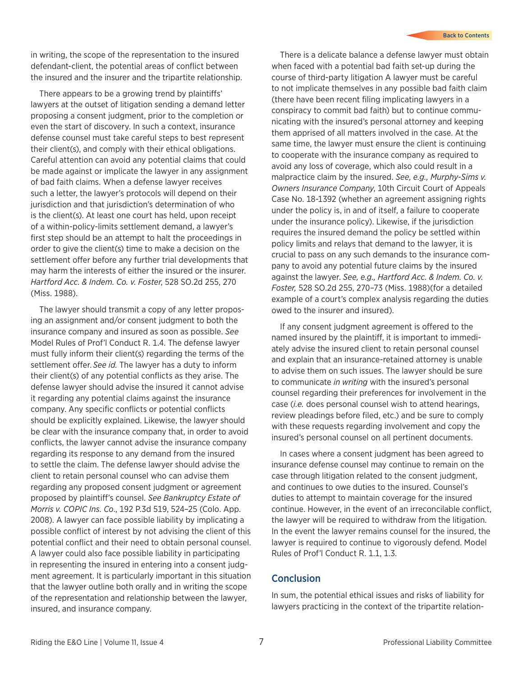in writing, the scope of the representation to the insured defendant-client, the potential areas of conflict between the insured and the insurer and the tripartite relationship.

There appears to be a growing trend by plaintiffs' lawyers at the outset of litigation sending a demand letter proposing a consent judgment, prior to the completion or even the start of discovery. In such a context, insurance defense counsel must take careful steps to best represent their client(s), and comply with their ethical obligations. Careful attention can avoid any potential claims that could be made against or implicate the lawyer in any assignment of bad faith claims. When a defense lawyer receives such a letter, the lawyer's protocols will depend on their jurisdiction and that jurisdiction's determination of who is the client(s). At least one court has held, upon receipt of a within-policy-limits settlement demand, a lawyer's first step should be an attempt to halt the proceedings in order to give the client(s) time to make a decision on the settlement offer before any further trial developments that may harm the interests of either the insured or the insurer. *Hartford Acc. & Indem. Co. v. Foster*, 528 SO.2d 255, 270 (Miss. 1988).

The lawyer should transmit a copy of any letter proposing an assignment and/or consent judgment to both the insurance company and insured as soon as possible. *See* Model Rules of Prof'l Conduct R. 1.4. The defense lawyer must fully inform their client(s) regarding the terms of the settlement offer. *See id.* The lawyer has a duty to inform their client(s) of any potential conflicts as they arise. The defense lawyer should advise the insured it cannot advise it regarding any potential claims against the insurance company. Any specific conflicts or potential conflicts should be explicitly explained. Likewise, the lawyer should be clear with the insurance company that, in order to avoid conflicts, the lawyer cannot advise the insurance company regarding its response to any demand from the insured to settle the claim. The defense lawyer should advise the client to retain personal counsel who can advise them regarding any proposed consent judgment or agreement proposed by plaintiff's counsel. *See Bankruptcy Estate of Morris v. COPIC Ins. Co*., 192 P.3d 519, 524–25 (Colo. App. 2008). A lawyer can face possible liability by implicating a possible conflict of interest by not advising the client of this potential conflict and their need to obtain personal counsel. A lawyer could also face possible liability in participating in representing the insured in entering into a consent judgment agreement. It is particularly important in this situation that the lawyer outline both orally and in writing the scope of the representation and relationship between the lawyer, insured, and insurance company.

There is a delicate balance a defense lawyer must obtain when faced with a potential bad faith set-up during the course of third-party litigation A lawyer must be careful to not implicate themselves in any possible bad faith claim (there have been recent filing implicating lawyers in a conspiracy to commit bad faith) but to continue communicating with the insured's personal attorney and keeping them apprised of all matters involved in the case. At the same time, the lawyer must ensure the client is continuing to cooperate with the insurance company as required to avoid any loss of coverage, which also could result in a malpractice claim by the insured. *See, e.g., Murphy-Sims v. Owners Insurance Company*, 10th Circuit Court of Appeals Case No. 18-1392 (whether an agreement assigning rights under the policy is, in and of itself, a failure to cooperate under the insurance policy). Likewise, if the jurisdiction requires the insured demand the policy be settled within policy limits and relays that demand to the lawyer, it is crucial to pass on any such demands to the insurance company to avoid any potential future claims by the insured against the lawyer. *See, e.g., Hartford Acc. & Indem. Co. v. Foster,* 528 SO.2d 255, 270–73 (Miss. 1988)(for a detailed example of a court's complex analysis regarding the duties owed to the insurer and insured).

If any consent judgment agreement is offered to the named insured by the plaintiff, it is important to immediately advise the insured client to retain personal counsel and explain that an insurance-retained attorney is unable to advise them on such issues. The lawyer should be sure to communicate *in writing* with the insured's personal counsel regarding their preferences for involvement in the case (*i.e.* does personal counsel wish to attend hearings, review pleadings before filed, etc.) and be sure to comply with these requests regarding involvement and copy the insured's personal counsel on all pertinent documents.

In cases where a consent judgment has been agreed to insurance defense counsel may continue to remain on the case through litigation related to the consent judgment, and continues to owe duties to the insured. Counsel's duties to attempt to maintain coverage for the insured continue. However, in the event of an irreconcilable conflict, the lawyer will be required to withdraw from the litigation. In the event the lawyer remains counsel for the insured, the lawyer is required to continue to vigorously defend. Model Rules of Prof'l Conduct R. 1.1, 1.3.

#### **Conclusion**

In sum, the potential ethical issues and risks of liability for lawyers practicing in the context of the tripartite relation